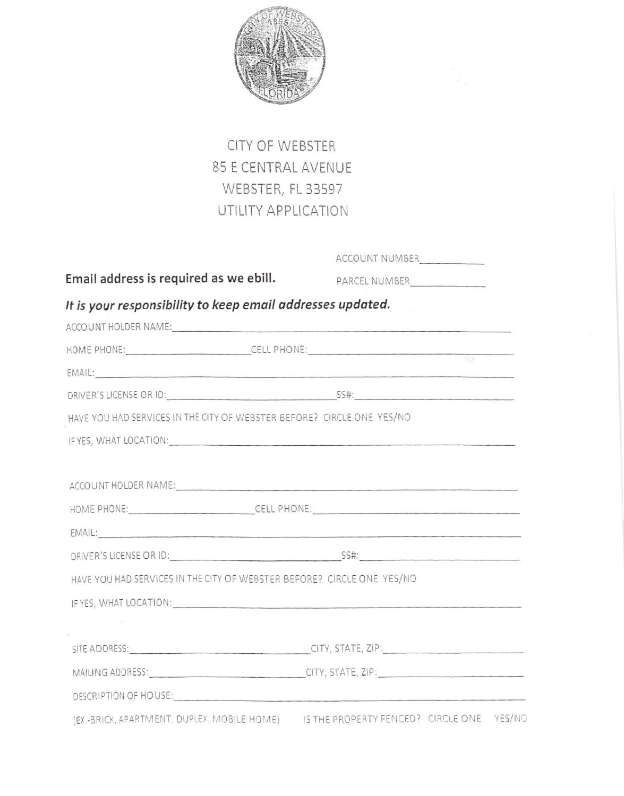

## CITY OF WEBSTER 85 E CENTRAL AVENUE WEBSTER, FL 33597 UTILITY APPLICATION

Email address is required as we ebill.

ACCOUNT NUMBER

PARCEL NUMBER

## It is your responsibility to keep email addresses updated.

|                                                                                                                                                                                                                                | ACCOUNT HOLDER NAME:                                                                                                                                                                                                           |
|--------------------------------------------------------------------------------------------------------------------------------------------------------------------------------------------------------------------------------|--------------------------------------------------------------------------------------------------------------------------------------------------------------------------------------------------------------------------------|
|                                                                                                                                                                                                                                | HOME PHONE: CELL PHONE: CELL PHONE:                                                                                                                                                                                            |
|                                                                                                                                                                                                                                | EMAIL: And the contract of the contract of the contract of the contract of the contract of the contract of the contract of the contract of the contract of the contract of the contract of the contract of the contract of the |
|                                                                                                                                                                                                                                | DRIVER'S LICENSE OR ID: SS#:                                                                                                                                                                                                   |
| HAVE YOU HAD SERVICES IN THE CITY OF WEBSTER BEFORE? CIRCLE ONE YES/NO                                                                                                                                                         |                                                                                                                                                                                                                                |
| IF YES, WHAT LOCATION: UNIVERSITY OF A SERIES OF A SERIES OF A SERIES OF A SERIES OF A SERIES OF A SERIES OF A SERIES OF A SERIES OF A SERIES OF A SERIES OF A SERIES OF A SERIES OF A SERIES OF A SERIES OF A SERIES OF A SER |                                                                                                                                                                                                                                |
|                                                                                                                                                                                                                                |                                                                                                                                                                                                                                |
|                                                                                                                                                                                                                                | ACCOUNT HOLDER NAME:                                                                                                                                                                                                           |
|                                                                                                                                                                                                                                | HOME PHONE: CELL PHONE: CELL PHONE:                                                                                                                                                                                            |
|                                                                                                                                                                                                                                | EMAIL: EMAIL: And the contract of the contract of the contract of the contract of the contract of the contract of the contract of the contract of the contract of the contract of the contract of the contract of the contract |
|                                                                                                                                                                                                                                | DRIVER'S LICENSE OR ID: SS#:                                                                                                                                                                                                   |
| HAVE YOU HAD SERVICES IN THE CITY OF WEBSTER BEFORE? CIRCLE ONE YES/NO                                                                                                                                                         |                                                                                                                                                                                                                                |
| IF YES, WHAT LOCATION:                                                                                                                                                                                                         |                                                                                                                                                                                                                                |
|                                                                                                                                                                                                                                |                                                                                                                                                                                                                                |
|                                                                                                                                                                                                                                | SITE ADDRESS: CHECK CITY, STATE, ZIP:                                                                                                                                                                                          |
|                                                                                                                                                                                                                                | MAILING ADDRESS: CONTROL CITY, STATE, ZIP:                                                                                                                                                                                     |
|                                                                                                                                                                                                                                | DESCRIPTION OF HOUSE: Network and the set of the set of the set of the set of the set of the set of the set of the set of the set of the set of the set of the set of the set of the set of the set of the set of the set of t |
|                                                                                                                                                                                                                                | (EX BRICK APARTMENT DUPLEX MOBILE HOME) IS THE PROPERTY FENCED? CIRCLE ONE YES/NO                                                                                                                                              |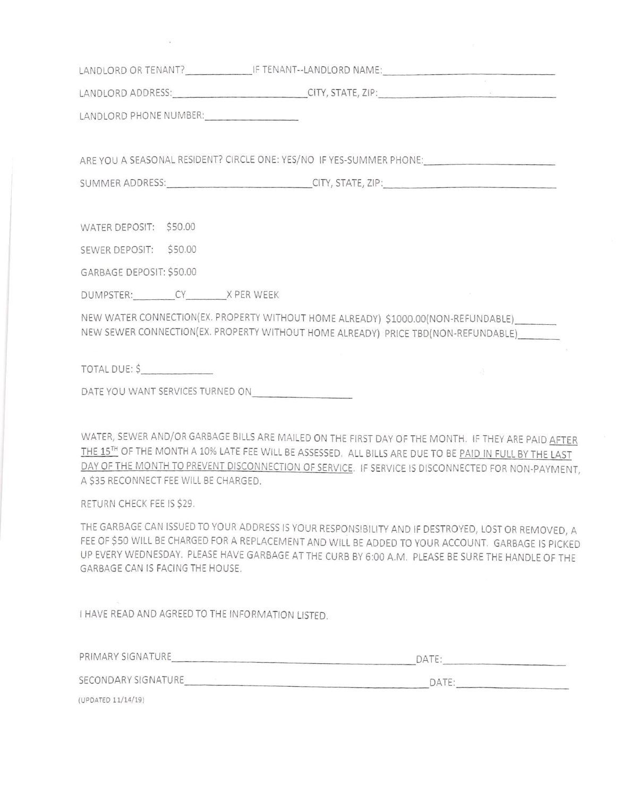| LANDLORD ADDRESS: CHANGE CITY, STATE, ZIP: CITY, STATE CITY, STATE CITY, STATE CITY, STATE CITY, STATE CITY, STATE CITY, STATE CITY, STATE CITY, STATE CITY, STATE CITY, STATE CITY, STATE CITY, STATE CITY, STATE CITY, STATE                                                                                                                             |  |
|------------------------------------------------------------------------------------------------------------------------------------------------------------------------------------------------------------------------------------------------------------------------------------------------------------------------------------------------------------|--|
| LANDLORD PHONE NUMBER:                                                                                                                                                                                                                                                                                                                                     |  |
|                                                                                                                                                                                                                                                                                                                                                            |  |
| ARE YOU A SEASONAL RESIDENT? CIRCLE ONE: YES/NO IF YES-SUMMER PHONE:                                                                                                                                                                                                                                                                                       |  |
| SUMMER ADDRESS: CITY, STATE, ZIP:                                                                                                                                                                                                                                                                                                                          |  |
|                                                                                                                                                                                                                                                                                                                                                            |  |
| WATER DEPOSIT: \$50.00                                                                                                                                                                                                                                                                                                                                     |  |
| SEWER DEPOSIT: \$50.00                                                                                                                                                                                                                                                                                                                                     |  |
| GARBAGE DEPOSIT: \$50.00                                                                                                                                                                                                                                                                                                                                   |  |
| DUMPSTER: CY X PER WEEK                                                                                                                                                                                                                                                                                                                                    |  |
| NEW WATER CONNECTION(EX. PROPERTY WITHOUT HOME ALREADY) \$1000.00(NON-REFUNDABLE)                                                                                                                                                                                                                                                                          |  |
| NEW SEWER CONNECTION(EX. PROPERTY WITHOUT HOME ALREADY) PRICE TBD(NON-REFUNDABLE)                                                                                                                                                                                                                                                                          |  |
| TOTAL DUE: \$<br>$\frac{1}{2}$                                                                                                                                                                                                                                                                                                                             |  |
|                                                                                                                                                                                                                                                                                                                                                            |  |
|                                                                                                                                                                                                                                                                                                                                                            |  |
| WATER, SEWER AND/OR GARBAGE BILLS ARE MAILED ON THE FIRST DAY OF THE MONTH. IF THEY ARE PAID AFTER<br>THE 15TH OF THE MONTH A 10% LATE FEE WILL BE ASSESSED. ALL BILLS ARE DUE TO BE PAID IN FULL BY THE LAST<br>DAY OF THE MONTH TO PREVENT DISCONNECTION OF SERVICE. IF SERVICE IS DISCONNECTED FOR NON-PAYMENT<br>A \$35 RECONNECT FEE WILL BE CHARGED. |  |
| RETURN CHECK FEE IS \$29.                                                                                                                                                                                                                                                                                                                                  |  |

THE GARBAGE CAN ISSUED TO YOUR ADDRESS IS YOUR RESPONSIBILITY AND IF DESTROYED, LOST OR REMOVED, A FEE OF \$50 WILL BE CHARGED FOR A REPLACEMENT AND WILL BE ADDED TO YOUR ACCOUNT. GARBAGE IS PICKED UP EVERYWEDNESDAY. PLEASE HAVE GARBAGE ATTHE CURB BY 6:OO A,M, PLEASE BE SURE THE HANDLE OF THE GARBAGE CAN IS FACING THE HOUSE.

I HAVE READ AND AGREED TO THE INFORMATION LISTED.

| PRIMARY SIGNATURE   | DATE:          |  |
|---------------------|----------------|--|
| SECONDARY SIGNATURE | $\triangle$ TF |  |
| (UPDATED 11/14/19)  |                |  |